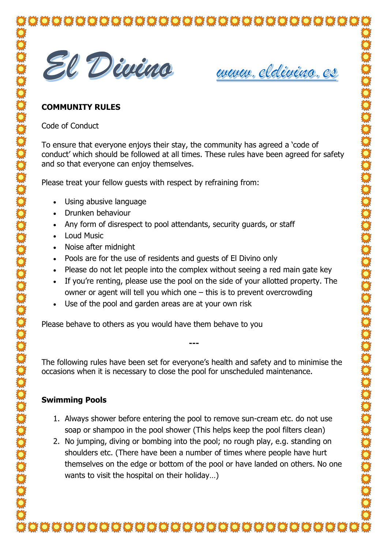

www.eldivino.es

## **COMMUNITY RULES**

Code of Conduct

To ensure that everyone enjoys their stay, the community has agreed a 'code of conduct' which should be followed at all times. These rules have been agreed for safety and so that everyone can enjoy themselves.

Please treat your fellow guests with respect by refraining from:

- Using abusive language
- Drunken behaviour
- Any form of disrespect to pool attendants, security quards, or staff
- Loud Music
- Noise after midnight
- Pools are for the use of residents and guests of El Divino only
- Please do not let people into the complex without seeing a red main gate key
- If you're renting, please use the pool on the side of your allotted property. The owner or agent will tell you which one – this is to prevent overcrowding
- Use of the pool and garden areas are at your own risk

Please behave to others as you would have them behave to you

The following rules have been set for everyone's health and safety and to minimise the occasions when it is necessary to close the pool for unscheduled maintenance.

**---**

## **Swimming Pools**

- 1. Always shower before entering the pool to remove sun-cream etc. do not use soap or shampoo in the pool shower (This helps keep the pool filters clean)
- 2. No jumping, diving or bombing into the pool; no rough play, e.g. standing on shoulders etc. (There have been a number of times where people have hurt themselves on the edge or bottom of the pool or have landed on others. No one wants to visit the hospital on their holiday...)